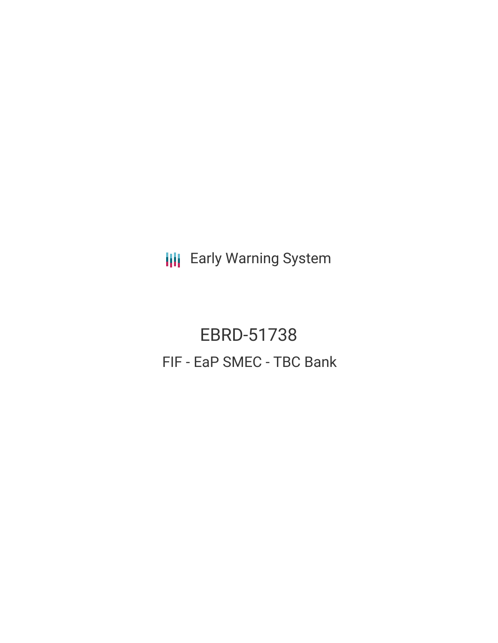**III** Early Warning System

EBRD-51738 FIF - EaP SMEC - TBC Bank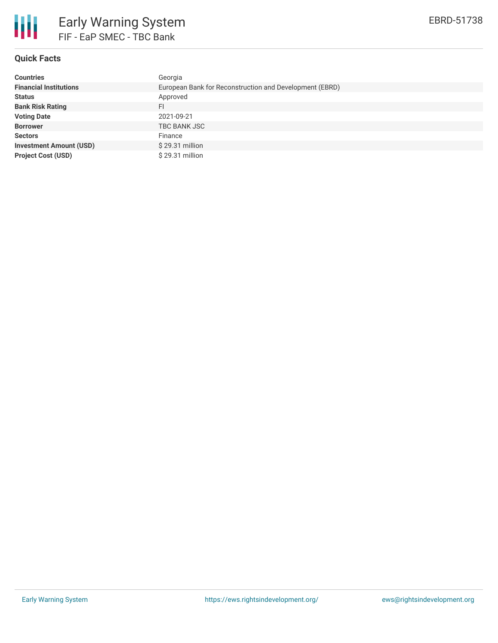

## **Quick Facts**

| <b>Countries</b>               | Georgia                                                 |
|--------------------------------|---------------------------------------------------------|
| <b>Financial Institutions</b>  | European Bank for Reconstruction and Development (EBRD) |
| <b>Status</b>                  | Approved                                                |
| <b>Bank Risk Rating</b>        | FI                                                      |
| <b>Voting Date</b>             | 2021-09-21                                              |
| <b>Borrower</b>                | TBC BANK JSC                                            |
| <b>Sectors</b>                 | Finance                                                 |
| <b>Investment Amount (USD)</b> | \$29.31 million                                         |
| <b>Project Cost (USD)</b>      | $$29.31$ million                                        |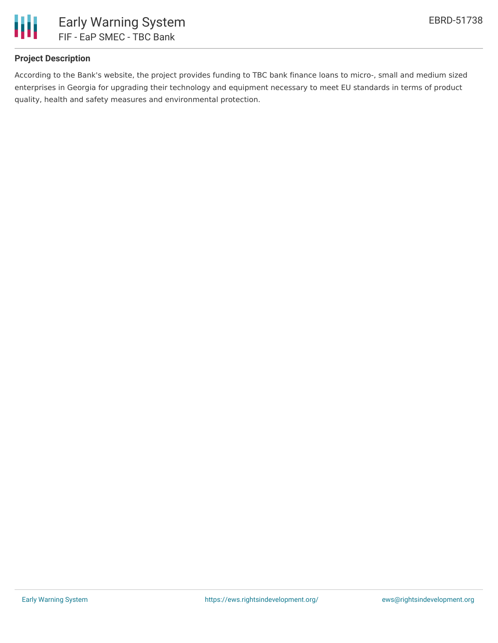

## **Project Description**

According to the Bank's website, the project provides funding to TBC bank finance loans to micro-, small and medium sized enterprises in Georgia for upgrading their technology and equipment necessary to meet EU standards in terms of product quality, health and safety measures and environmental protection.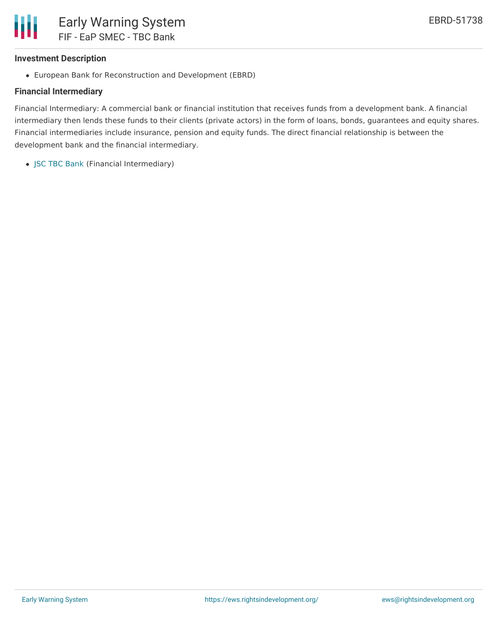#### **Investment Description**

European Bank for Reconstruction and Development (EBRD)

# **Financial Intermediary**

Financial Intermediary: A commercial bank or financial institution that receives funds from a development bank. A financial intermediary then lends these funds to their clients (private actors) in the form of loans, bonds, guarantees and equity shares. Financial intermediaries include insurance, pension and equity funds. The direct financial relationship is between the development bank and the financial intermediary.

JSC TBC [Bank](file:///actor/542/) (Financial Intermediary)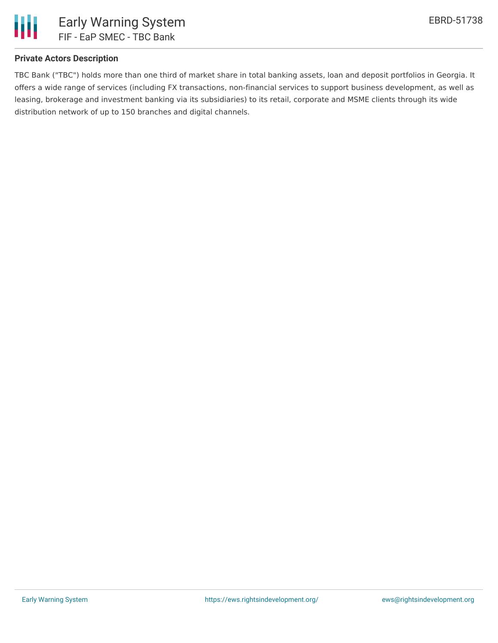

### **Private Actors Description**

TBC Bank ("TBC") holds more than one third of market share in total banking assets, loan and deposit portfolios in Georgia. It offers a wide range of services (including FX transactions, non-financial services to support business development, as well as leasing, brokerage and investment banking via its subsidiaries) to its retail, corporate and MSME clients through its wide distribution network of up to 150 branches and digital channels.